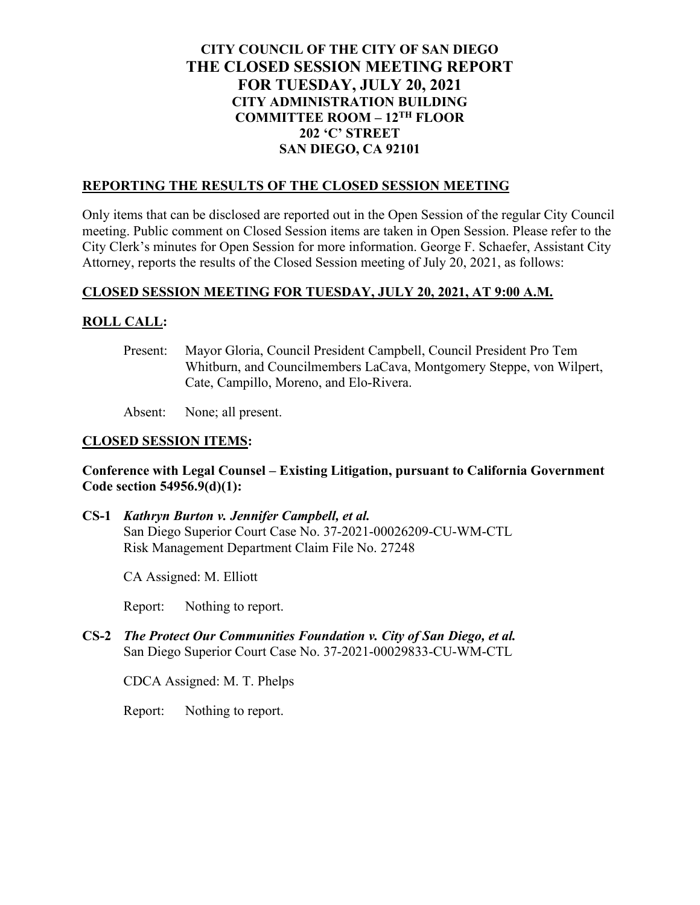# **CITY COUNCIL OF THE CITY OF SAN DIEGO THE CLOSED SESSION MEETING REPORT FOR TUESDAY, JULY 20, 2021 CITY ADMINISTRATION BUILDING COMMITTEE ROOM – 12TH FLOOR 202 'C' STREET SAN DIEGO, CA 92101**

#### **REPORTING THE RESULTS OF THE CLOSED SESSION MEETING**

Only items that can be disclosed are reported out in the Open Session of the regular City Council meeting. Public comment on Closed Session items are taken in Open Session. Please refer to the City Clerk's minutes for Open Session for more information. George F. Schaefer, Assistant City Attorney, reports the results of the Closed Session meeting of July 20, 2021, as follows:

### **CLOSED SESSION MEETING FOR TUESDAY, JULY 20, 2021, AT 9:00 A.M.**

## **ROLL CALL:**

Present: Mayor Gloria, Council President Campbell, Council President Pro Tem Whitburn, and Councilmembers LaCava, Montgomery Steppe, von Wilpert, Cate, Campillo, Moreno, and Elo-Rivera.

Absent: None; all present.

### **CLOSED SESSION ITEMS:**

### **Conference with Legal Counsel – Existing Litigation, pursuant to California Government Code section 54956.9(d)(1):**

**CS-1** *Kathryn Burton v. Jennifer Campbell, et al.* San Diego Superior Court Case No. 37-2021-00026209-CU-WM-CTL Risk Management Department Claim File No. 27248

CA Assigned: M. Elliott

Report: Nothing to report.

**CS-2** *The Protect Our Communities Foundation v. City of San Diego, et al.* San Diego Superior Court Case No. 37-2021-00029833-CU-WM-CTL

CDCA Assigned: M. T. Phelps

Report: Nothing to report.